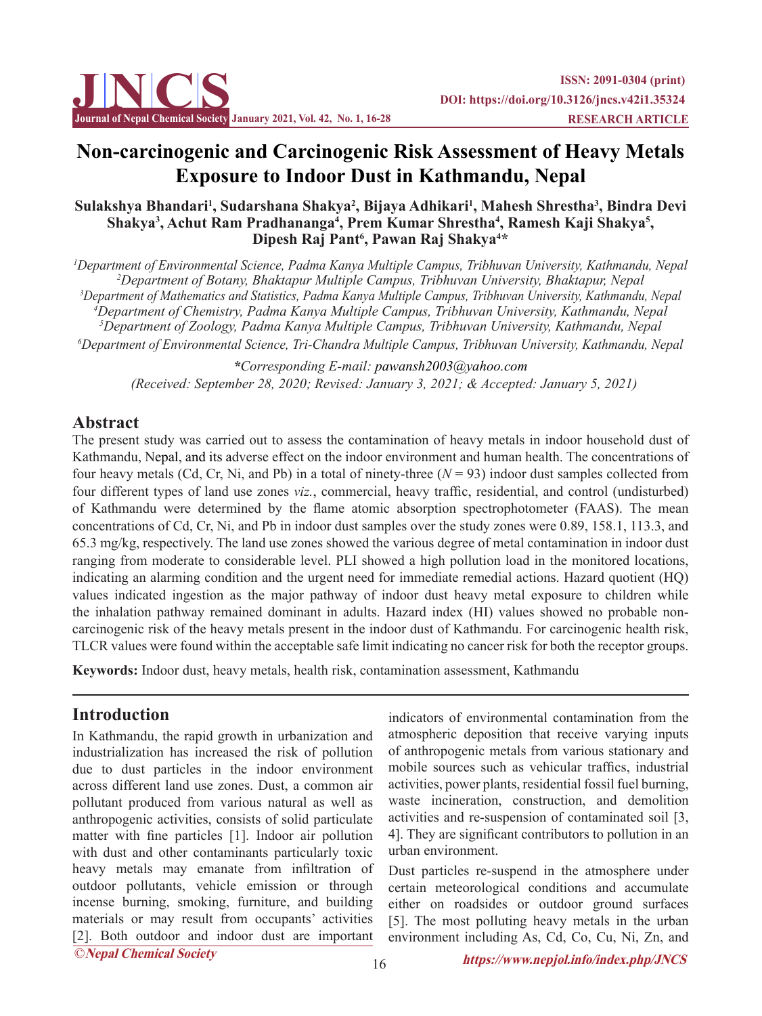

# **Non-carcinogenic and Carcinogenic Risk Assessment of Heavy Metals Exposure to Indoor Dust in Kathmandu, Nepal**

### **Sulakshya Bhandari1 , Sudarshana Shakya2 , Bijaya Adhikari1 , Mahesh Shrestha3 , Bindra Devi**  Shakya<sup>3</sup>, Achut Ram Pradhananga<sup>4</sup>, Prem Kumar Shrestha<sup>4</sup>, Ramesh Kaji Shakya<sup>5</sup>, **Dipesh Raj Pant6 , Pawan Raj Shakya4 \***

 *Department of Environmental Science, Padma Kanya Multiple Campus, Tribhuvan University, Kathmandu, Nepal Department of Botany, Bhaktapur Multiple Campus, Tribhuvan University, Bhaktapur, Nepal Department of Mathematics and Statistics, Padma Kanya Multiple Campus, Tribhuvan University, Kathmandu, Nepal Department of Chemistry, Padma Kanya Multiple Campus, Tribhuvan University, Kathmandu, Nepal Department of Zoology, Padma Kanya Multiple Campus, Tribhuvan University, Kathmandu, Nepal Department of Environmental Science, Tri-Chandra Multiple Campus, Tribhuvan University, Kathmandu, Nepal*

*\*Corresponding E-mail: pawansh2003@yahoo.com (Received: September 28, 2020; Revised: January 3, 2021; & Accepted: January 5, 2021)*

## **Abstract**

The present study was carried out to assess the contamination of heavy metals in indoor household dust of Kathmandu, Nepal, and its adverse effect on the indoor environment and human health. The concentrations of four heavy metals (Cd, Cr, Ni, and Pb) in a total of ninety-three  $(N = 93)$  indoor dust samples collected from four different types of land use zones *viz.*, commercial, heavy traffic, residential, and control (undisturbed) of Kathmandu were determined by the flame atomic absorption spectrophotometer (FAAS). The mean concentrations of Cd, Cr, Ni, and Pb in indoor dust samples over the study zones were 0.89, 158.1, 113.3, and 65.3 mg/kg, respectively. The land use zones showed the various degree of metal contamination in indoor dust ranging from moderate to considerable level. PLI showed a high pollution load in the monitored locations, indicating an alarming condition and the urgent need for immediate remedial actions. Hazard quotient (HQ) values indicated ingestion as the major pathway of indoor dust heavy metal exposure to children while the inhalation pathway remained dominant in adults. Hazard index (HI) values showed no probable noncarcinogenic risk of the heavy metals present in the indoor dust of Kathmandu. For carcinogenic health risk, TLCR values were found within the acceptable safe limit indicating no cancer risk for both the receptor groups.

**Keywords:** Indoor dust, heavy metals, health risk, contamination assessment, Kathmandu

## **Introduction**

In Kathmandu, the rapid growth in urbanization and industrialization has increased the risk of pollution due to dust particles in the indoor environment across different land use zones. Dust, a common air pollutant produced from various natural as well as anthropogenic activities, consists of solid particulate matter with fine particles [1]. Indoor air pollution with dust and other contaminants particularly toxic heavy metals may emanate from infiltration of outdoor pollutants, vehicle emission or through incense burning, smoking, furniture, and building materials or may result from occupants' activities [2]. Both outdoor and indoor dust are important

indicators of environmental contamination from the atmospheric deposition that receive varying inputs of anthropogenic metals from various stationary and mobile sources such as vehicular traffics, industrial activities, power plants, residential fossil fuel burning, waste incineration, construction, and demolition activities and re-suspension of contaminated soil [3, 4]. They are significant contributors to pollution in an urban environment.

Dust particles re-suspend in the atmosphere under certain meteorological conditions and accumulate either on roadsides or outdoor ground surfaces [5]. The most polluting heavy metals in the urban environment including As, Cd, Co, Cu, Ni, Zn, and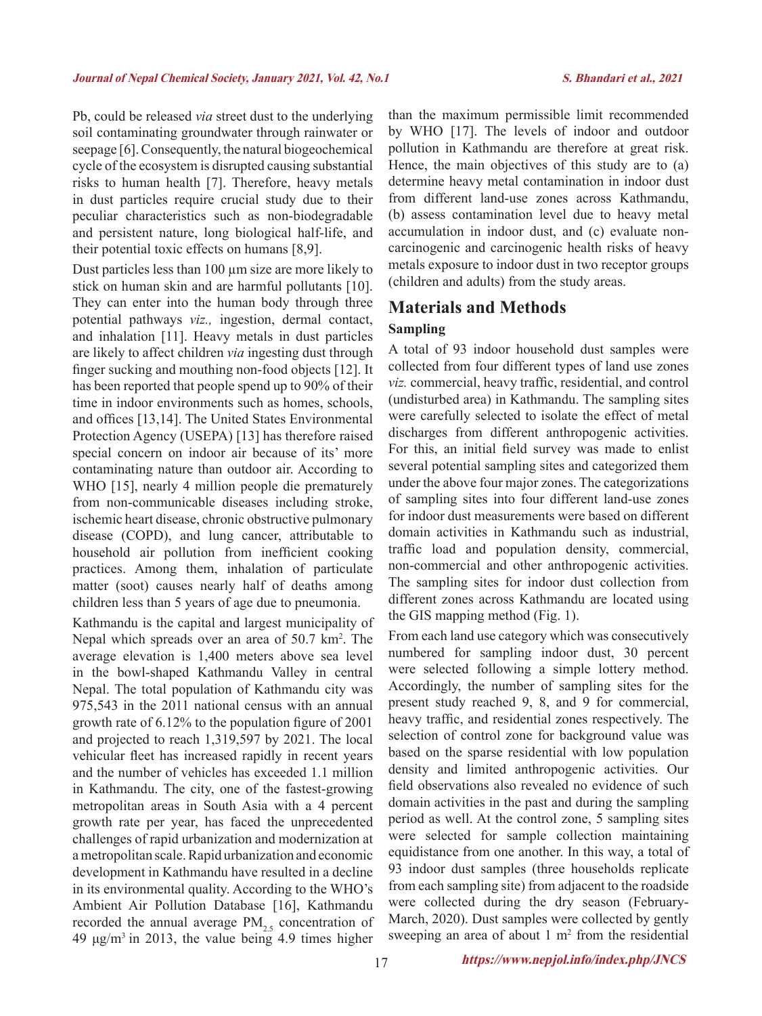Pb, could be released *via* street dust to the underlying soil contaminating groundwater through rainwater or seepage [6]. Consequently, the natural biogeochemical cycle of the ecosystem is disrupted causing substantial risks to human health [7]. Therefore, heavy metals in dust particles require crucial study due to their peculiar characteristics such as non-biodegradable and persistent nature, long biological half-life, and their potential toxic effects on humans [8,9].

Dust particles less than 100 µm size are more likely to stick on human skin and are harmful pollutants [10]. They can enter into the human body through three potential pathways *viz.,* ingestion, dermal contact, and inhalation [11]. Heavy metals in dust particles are likely to affect children *via* ingesting dust through finger sucking and mouthing non-food objects [12]. It has been reported that people spend up to 90% of their time in indoor environments such as homes, schools, and offices [13,14]. The United States Environmental Protection Agency (USEPA) [13] has therefore raised special concern on indoor air because of its' more contaminating nature than outdoor air. According to WHO [15], nearly 4 million people die prematurely from non-communicable diseases including stroke, ischemic heart disease, chronic obstructive pulmonary disease (COPD), and lung cancer, attributable to household air pollution from inefficient cooking practices. Among them, inhalation of particulate matter (soot) causes nearly half of deaths among children less than 5 years of age due to pneumonia.

Kathmandu is the capital and largest municipality of Nepal which spreads over an area of 50.7 km<sup>2</sup>. The average elevation is 1,400 meters above sea level in the bowl-shaped Kathmandu Valley in central Nepal. The total population of Kathmandu city was 975,543 in the 2011 national census with an annual growth rate of 6.12% to the population figure of 2001 and projected to reach 1,319,597 by 2021. The local vehicular fleet has increased rapidly in recent years and the number of vehicles has exceeded 1.1 million in Kathmandu. The city, one of the fastest-growing metropolitan areas in South Asia with a 4 percent growth rate per year, has faced the unprecedented challenges of rapid urbanization and modernization at a metropolitan scale. Rapid urbanization and economic development in Kathmandu have resulted in a decline in its environmental quality. According to the WHO's Ambient Air Pollution Database [16], Kathmandu recorded the annual average  $PM_{2.5}$  concentration of 49  $\mu$ g/m<sup>3</sup> in 2013, the value being 4.9 times higher

than the maximum permissible limit recommended by WHO [17]. The levels of indoor and outdoor pollution in Kathmandu are therefore at great risk. Hence, the main objectives of this study are to (a) determine heavy metal contamination in indoor dust from different land-use zones across Kathmandu, (b) assess contamination level due to heavy metal accumulation in indoor dust, and (c) evaluate noncarcinogenic and carcinogenic health risks of heavy metals exposure to indoor dust in two receptor groups (children and adults) from the study areas.

## **Materials and Methods**

### **Sampling**

A total of 93 indoor household dust samples were collected from four different types of land use zones *viz.* commercial, heavy traffic, residential, and control (undisturbed area) in Kathmandu. The sampling sites were carefully selected to isolate the effect of metal discharges from different anthropogenic activities. For this, an initial field survey was made to enlist several potential sampling sites and categorized them under the above four major zones. The categorizations of sampling sites into four different land-use zones for indoor dust measurements were based on different domain activities in Kathmandu such as industrial, traffic load and population density, commercial, non-commercial and other anthropogenic activities. The sampling sites for indoor dust collection from different zones across Kathmandu are located using the GIS mapping method (Fig. 1).

From each land use category which was consecutively numbered for sampling indoor dust, 30 percent were selected following a simple lottery method. Accordingly, the number of sampling sites for the present study reached 9, 8, and 9 for commercial, heavy traffic, and residential zones respectively. The selection of control zone for background value was based on the sparse residential with low population density and limited anthropogenic activities. Our field observations also revealed no evidence of such domain activities in the past and during the sampling period as well. At the control zone, 5 sampling sites were selected for sample collection maintaining equidistance from one another. In this way, a total of 93 indoor dust samples (three households replicate from each sampling site) from adjacent to the roadside were collected during the dry season (February-March, 2020). Dust samples were collected by gently sweeping an area of about  $1 \text{ m}^2$  from the residential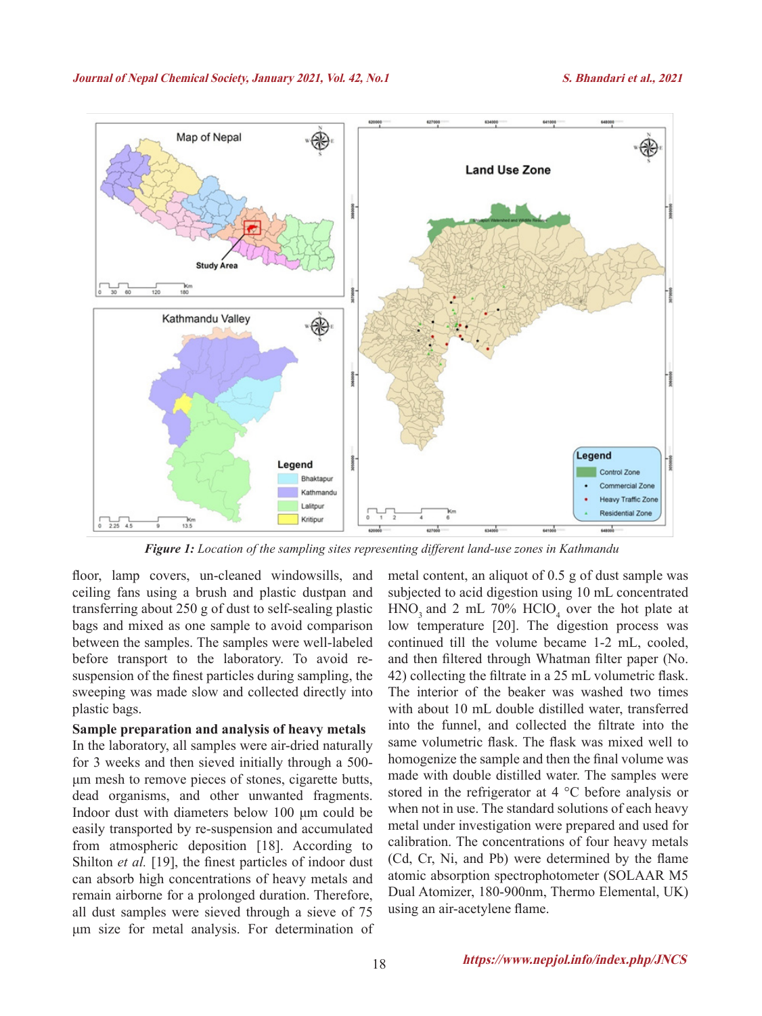

*Figure 1: Location of the sampling sites representing different land-use zones in Kathmandu*

floor, lamp covers, un-cleaned windowsills, and ceiling fans using a brush and plastic dustpan and transferring about 250 g of dust to self-sealing plastic bags and mixed as one sample to avoid comparison between the samples. The samples were well-labeled before transport to the laboratory. To avoid resuspension of the finest particles during sampling, the sweeping was made slow and collected directly into plastic bags.

### **Sample preparation and analysis of heavy metals**  In the laboratory, all samples were air-dried naturally for 3 weeks and then sieved initially through a 500 μm mesh to remove pieces of stones, cigarette butts, dead organisms, and other unwanted fragments. Indoor dust with diameters below 100 μm could be easily transported by re-suspension and accumulated from atmospheric deposition [18]. According to Shilton *et al.* [19], the finest particles of indoor dust can absorb high concentrations of heavy metals and remain airborne for a prolonged duration. Therefore, all dust samples were sieved through a sieve of 75 μm size for metal analysis. For determination of

metal content, an aliquot of 0.5 g of dust sample was subjected to acid digestion using 10 mL concentrated  $HNO<sub>3</sub>$  and 2 mL 70%  $HClO<sub>4</sub>$  over the hot plate at low temperature [20]. The digestion process was continued till the volume became 1-2 mL, cooled, and then filtered through Whatman filter paper (No. 42) collecting the filtrate in a 25 mL volumetric flask. The interior of the beaker was washed two times with about 10 mL double distilled water, transferred into the funnel, and collected the filtrate into the same volumetric flask. The flask was mixed well to homogenize the sample and then the final volume was made with double distilled water. The samples were stored in the refrigerator at 4 °C before analysis or when not in use. The standard solutions of each heavy metal under investigation were prepared and used for calibration. The concentrations of four heavy metals (Cd, Cr, Ni, and Pb) were determined by the flame atomic absorption spectrophotometer (SOLAAR M5 Dual Atomizer, 180-900nm, Thermo Elemental, UK) using an air-acetylene flame.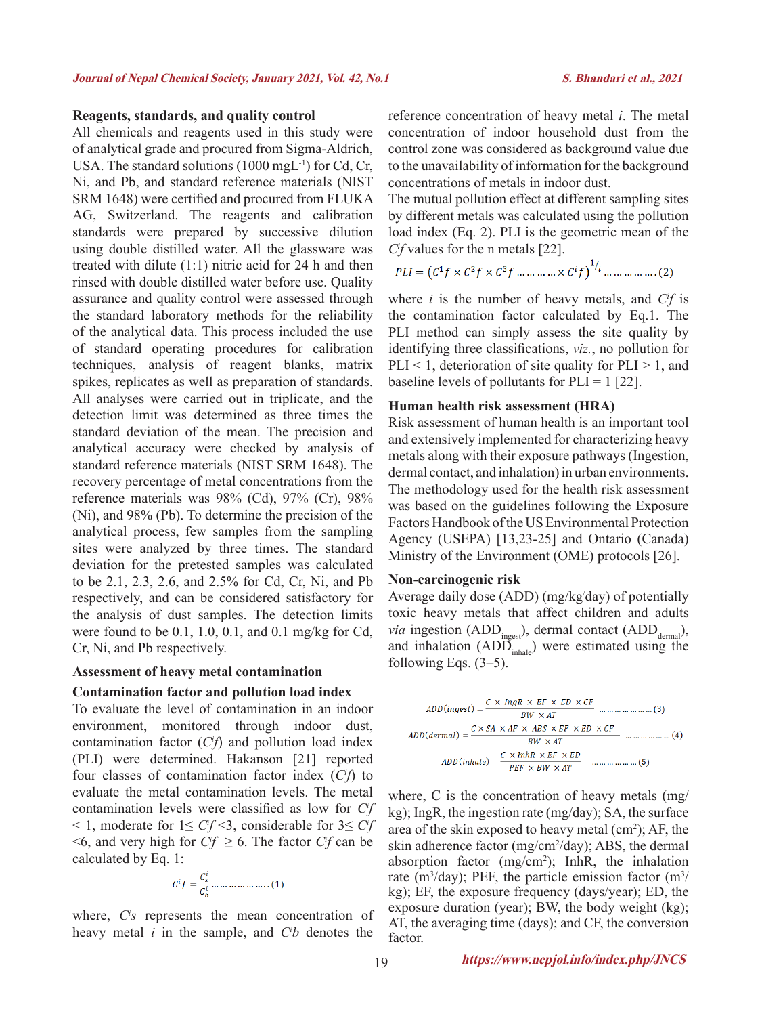### **Reagents, standards, and quality control**

All chemicals and reagents used in this study were of analytical grade and procured from Sigma-Aldrich, USA. The standard solutions (1000 mgL<sup>-1</sup>) for Cd, Cr, Ni, and Pb, and standard reference materials (NIST SRM 1648) were certified and procured from FLUKA AG, Switzerland. The reagents and calibration standards were prepared by successive dilution using double distilled water. All the glassware was treated with dilute (1:1) nitric acid for 24 h and then rinsed with double distilled water before use. Quality assurance and quality control were assessed through the standard laboratory methods for the reliability of the analytical data. This process included the use of standard operating procedures for calibration techniques, analysis of reagent blanks, matrix spikes, replicates as well as preparation of standards. All analyses were carried out in triplicate, and the detection limit was determined as three times the standard deviation of the mean. The precision and analytical accuracy were checked by analysis of standard reference materials (NIST SRM 1648). The recovery percentage of metal concentrations from the reference materials was 98% (Cd), 97% (Cr), 98% (Ni), and 98% (Pb). To determine the precision of the analytical process, few samples from the sampling sites were analyzed by three times. The standard deviation for the pretested samples was calculated to be 2.1, 2.3, 2.6, and 2.5% for Cd, Cr, Ni, and Pb respectively, and can be considered satisfactory for the analysis of dust samples. The detection limits were found to be 0.1, 1.0, 0.1, and 0.1 mg/kg for Cd, Cr, Ni, and Pb respectively.

#### **Assessment of heavy metal contamination**

### **Contamination factor and pollution load index**

To evaluate the level of contamination in an indoor environment, monitored through indoor dust, contamination factor (*Ci f*) and pollution load index (PLI) were determined. Hakanson [21] reported four classes of contamination factor index (*Ci f*) to evaluate the metal contamination levels. The metal contamination levels were classified as low for *Ci f* < 1, moderate for 1≤ *Ci f* <3, considerable for 3≤ *Ci f*  $\leq 6$ , and very high for *C*<sup>*f*</sup>  $\geq 6$ . The factor *C<sup><i>f*</sup></sup> can be calculated by Eq. 1:

$$
Cif = \frac{C_s^i}{C_b^i} \dots \dots \dots \dots \dots \dots (1)
$$

where, *Ci s* represents the mean concentration of heavy metal *i* in the sample, and *Ci b* denotes the reference concentration of heavy metal *i*. The metal concentration of indoor household dust from the control zone was considered as background value due to the unavailability of information for the background concentrations of metals in indoor dust.

The mutual pollution effect at different sampling sites by different metals was calculated using the pollution load index (Eq. 2). PLI is the geometric mean of the *Ci f* values for the n metals [22].

$$
PLI = (C^{1}f \times C^{2}f \times C^{3}f \dots \dots \dots \dots \times C^{i}f)^{1/i} \dots \dots \dots \dots \dots (2)
$$

where  $i$  is the number of heavy metals, and  $C<sup>i</sup>f$  is the contamination factor calculated by Eq.1. The PLI method can simply assess the site quality by identifying three classifications, *viz.*, no pollution for PLI  $\leq$  1, deterioration of site quality for PLI  $\geq$  1, and baseline levels of pollutants for  $PLI = 1$  [22].

#### **Human health risk assessment (HRA)**

Risk assessment of human health is an important tool and extensively implemented for characterizing heavy metals along with their exposure pathways (Ingestion, dermal contact, and inhalation) in urban environments. The methodology used for the health risk assessment was based on the guidelines following the Exposure Factors Handbook of the US Environmental Protection Agency (USEPA) [13,23-25] and Ontario (Canada) Ministry of the Environment (OME) protocols [26].

#### **Non-carcinogenic risk**

Average daily dose (ADD) (mg/kg/ day) of potentially toxic heavy metals that affect children and adults *via* ingestion (ADD<sub>ingest</sub>), dermal contact (ADD<sub>dermal</sub>), and inhalation  $(ADD_{\text{inhole}})$  were estimated using the following Eqs.  $(3-5)$ .

$$
ADD(ingest) = \frac{C \times IngR \times EF \times ED \times CF}{BW \times AT} \quad ....... \quad ....... \quad ...(3)
$$
\n
$$
ADD(dermal) = \frac{C \times SA \times AF \times ABS \times EF \times ED \times CF}{BW \times AT} \quad ....... \quad ...(4)
$$
\n
$$
ADD(inhale) = \frac{C \times InhR \times EF \times ED}{PEF \times BW \times AT} \quad ....... \quad ...(5)
$$

where, C is the concentration of heavy metals (mg/ kg); IngR, the ingestion rate (mg/day); SA, the surface area of the skin exposed to heavy metal  $(cm<sup>2</sup>)$ ; AF, the skin adherence factor (mg/cm<sup>2</sup>/day); ABS, the dermal absorption factor (mg/cm<sup>2</sup>); InhR, the inhalation rate (m<sup>3</sup>/day); PEF, the particle emission factor (m<sup>3</sup>/ kg); EF, the exposure frequency (days/year); ED, the exposure duration (year); BW, the body weight (kg); AT, the averaging time (days); and CF, the conversion factor.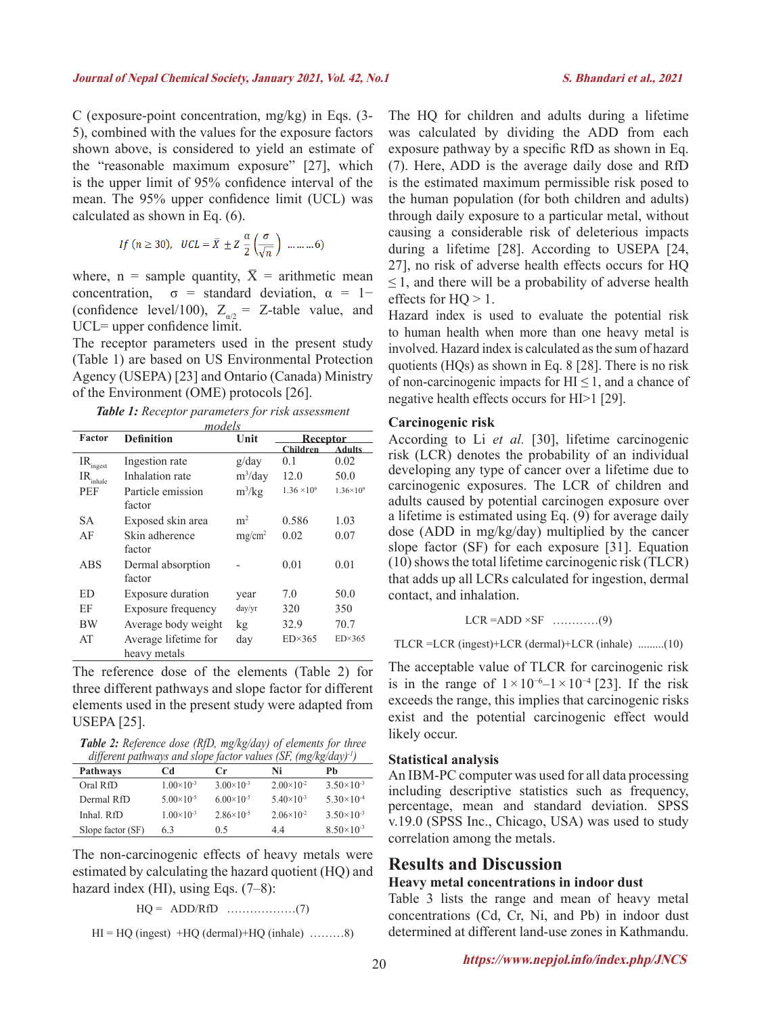C (exposure-point concentration, mg/kg) in Eqs. (3- 5), combined with the values for the exposure factors shown above, is considered to yield an estimate of the "reasonable maximum exposure" [27], which is the upper limit of 95% confidence interval of the mean. The 95% upper confidence limit (UCL) was calculated as shown in Eq. (6).

$$
If (n \ge 30), \quad UCL = \overline{X} \pm Z \frac{\alpha}{2} \left( \frac{\sigma}{\sqrt{n}} \right) \dots \dots \dots 6)
$$

where, n = sample quantity,  $\bar{X}$  = arithmetic mean concentration,  $\sigma$  = standard deviation,  $\alpha$  = 1− (confidence level/100),  $Z_{a/2} = Z$ -table value, and UCL= upper confidence limit.

The receptor parameters used in the present study (Table 1) are based on US Environmental Protection Agency (USEPA) [23] and Ontario (Canada) Ministry of the Environment (OME) protocols [26].

*Table 1: Receptor parameters for risk assessment* 

| models                                                     |                          |                |                      |                    |  |  |  |  |
|------------------------------------------------------------|--------------------------|----------------|----------------------|--------------------|--|--|--|--|
| Factor                                                     | <b>Definition</b>        | Unit           |                      | <b>Receptor</b>    |  |  |  |  |
|                                                            |                          |                | <b>Children</b>      | Adults             |  |  |  |  |
| $\mathrm{IR}_\mathrm{ingest}$                              | Ingestion rate           | g/day          | 0.1                  | 0.02               |  |  |  |  |
| $\ensuremath{\mathsf{IR}}\xspace_{\mathsf{inhale}\xspace}$ | Inhalation rate          | $m^3$ /day     | 12.0                 | 50.0               |  |  |  |  |
| PEF                                                        | Particle emission        | $m^3/kg$       | $1.36 \times 10^{9}$ | $1.36\times10^{9}$ |  |  |  |  |
|                                                            | factor                   |                |                      |                    |  |  |  |  |
| SА                                                         | Exposed skin area        | m <sup>2</sup> | 0.586                | 1.03               |  |  |  |  |
| AF                                                         | Skin adherence           | $mg/cm^2$      | 0.02                 | 0.07               |  |  |  |  |
|                                                            | factor                   |                |                      |                    |  |  |  |  |
| ABS                                                        | Dermal absorption        |                | 0.01                 | 0.01               |  |  |  |  |
|                                                            | factor                   |                |                      |                    |  |  |  |  |
| ED                                                         | <b>Exposure duration</b> | year           | 7.0                  | 50.0               |  |  |  |  |
| ЕF                                                         | Exposure frequency       | day/yr         | 320                  | 350                |  |  |  |  |
| <b>BW</b>                                                  | Average body weight      | kg             | 32.9                 | 70.7               |  |  |  |  |
| AT                                                         | Average lifetime for     | day            | $ED\times365$        | $ED\times365$      |  |  |  |  |
|                                                            | heavy metals             |                |                      |                    |  |  |  |  |

The reference dose of the elements (Table 2) for three different pathways and slope factor for different elements used in the present study were adapted from USEPA [25].

*Table 2: Reference dose (RfD, mg/kg/day) of elements for three different pathways and slope factor values (SF, (mg/kg/day)-1)*

| <b>Pathways</b>   | Cd                  | $C_{\Gamma}$          | Ni                    | Рb                  |
|-------------------|---------------------|-----------------------|-----------------------|---------------------|
| Oral RfD          | $1.00\times10^{-3}$ | $3.00\times10^{-3}$   | $2.00\times10^{-2}$   | $3.50\times10^{-3}$ |
| Dermal RfD        | $5.00\times10^{-5}$ | $6.00\times10^{-5}$   | $5.40\times10^{-3}$   | $5.30\times10^{-4}$ |
| Inhal RfD         | $1.00\times10^{-3}$ | $2.86 \times 10^{-5}$ | $2.06 \times 10^{-2}$ | $3.50\times10^{-3}$ |
| Slope factor (SF) | 6.3                 | 0.5                   | 44                    | $8.50\times10^{-3}$ |

The non-carcinogenic effects of heavy metals were estimated by calculating the hazard quotient (HQ) and hazard index (HI), using Eqs. (7–8):

$$
HQ = ADD/RfD \quad \dots \quad \dots \quad \dots \quad (7)
$$

$$
HI = HQ (ingest) + HQ (dermal) + HQ (inhale) \dots \dots .8)
$$

The HQ for children and adults during a lifetime was calculated by dividing the ADD from each exposure pathway by a specific RfD as shown in Eq. (7). Here, ADD is the average daily dose and RfD is the estimated maximum permissible risk posed to the human population (for both children and adults) through daily exposure to a particular metal, without causing a considerable risk of deleterious impacts during a lifetime [28]. According to USEPA [24, 27], no risk of adverse health effects occurs for HQ  $\leq$  1, and there will be a probability of adverse health effects for  $HO > 1$ .

Hazard index is used to evaluate the potential risk to human health when more than one heavy metal is involved. Hazard index is calculated as the sum of hazard quotients (HQs) as shown in Eq. 8 [28]. There is no risk of non-carcinogenic impacts for  $H \le 1$ , and a chance of negative health effects occurs for HI>1 [29].

### **Carcinogenic risk**

According to Li *et al.* [30], lifetime carcinogenic risk (LCR) denotes the probability of an individual developing any type of cancer over a lifetime due to carcinogenic exposures. The LCR of children and adults caused by potential carcinogen exposure over a lifetime is estimated using Eq. (9) for average daily dose (ADD in mg/kg/day) multiplied by the cancer slope factor (SF) for each exposure [31]. Equation (10) shows the total lifetime carcinogenic risk (TLCR) that adds up all LCRs calculated for ingestion, dermal contact, and inhalation.

$$
LCR = ADD \times SF
$$
 .........(9)

TLCR =LCR (ingest)+LCR (dermal)+LCR (inhale) .........(10)

The acceptable value of TLCR for carcinogenic risk is in the range of  $1 \times 10^{-6}$ – $1 \times 10^{-4}$  [23]. If the risk exceeds the range, this implies that carcinogenic risks exist and the potential carcinogenic effect would likely occur.

### **Statistical analysis**

An IBM-PC computer was used for all data processing including descriptive statistics such as frequency, percentage, mean and standard deviation. SPSS v.19.0 (SPSS Inc., Chicago, USA) was used to study correlation among the metals.

## **Results and Discussion**

### **Heavy metal concentrations in indoor dust**

Table 3 lists the range and mean of heavy metal concentrations (Cd, Cr, Ni, and Pb) in indoor dust determined at different land-use zones in Kathmandu.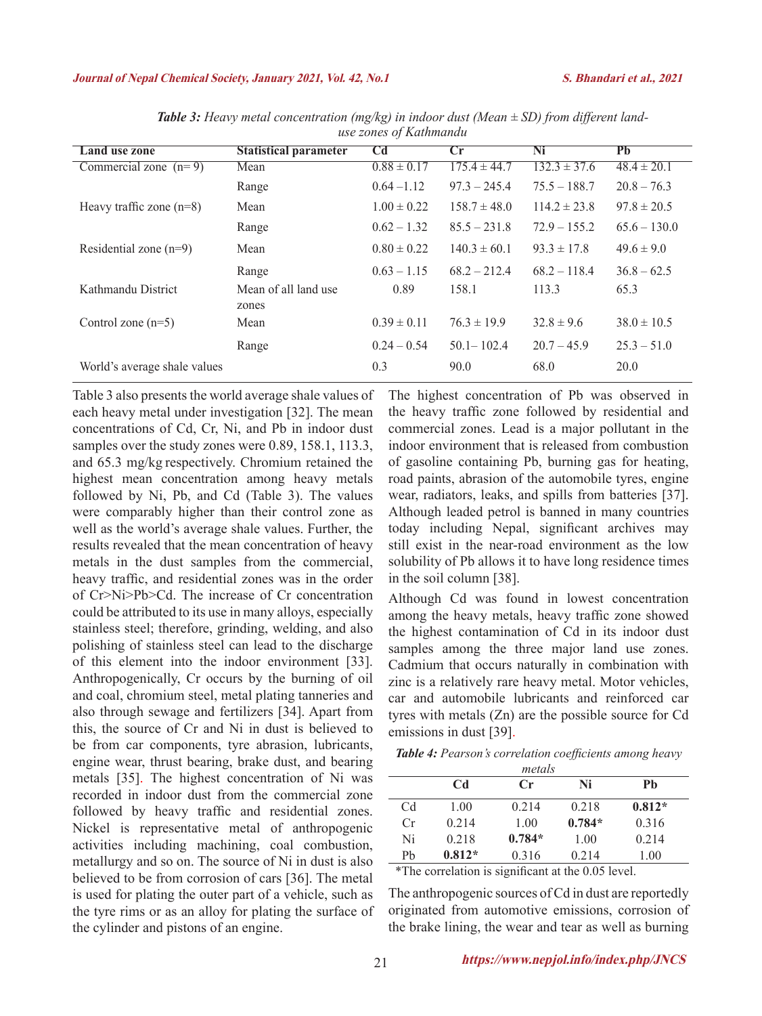#### **Journal of Nepal Chemical Society, January 2021, Vol. 42, No.1****S. Bhandari et al., 2021**

| Land use zone                | <b>Statistical parameter</b>  | <b>Cd</b>       | Cr               | Ni               | PЬ              |
|------------------------------|-------------------------------|-----------------|------------------|------------------|-----------------|
| Commercial zone $(n=9)$      | Mean                          | $0.88 \pm 0.17$ | $175.4 \pm 44.7$ | $132.3 \pm 37.6$ | $48.4 \pm 20.1$ |
|                              | Range                         | $0.64 - 1.12$   | $97.3 - 245.4$   | $75.5 - 188.7$   | $20.8 - 76.3$   |
| Heavy traffic zone $(n=8)$   | Mean                          | $1.00 \pm 0.22$ | $158.7 \pm 48.0$ | $114.2 \pm 23.8$ | $97.8 \pm 20.5$ |
|                              | Range                         | $0.62 - 1.32$   | $85.5 - 231.8$   | $72.9 - 155.2$   | $65.6 - 130.0$  |
| Residential zone $(n=9)$     | Mean                          | $0.80 \pm 0.22$ | $140.3 \pm 60.1$ | $93.3 \pm 17.8$  | $49.6 \pm 9.0$  |
|                              | Range                         | $0.63 - 1.15$   | $68.2 - 212.4$   | $68.2 - 118.4$   | $36.8 - 62.5$   |
| Kathmandu District           | Mean of all land use<br>zones | 0.89            | 158.1            | 113.3            | 65.3            |
| Control zone $(n=5)$         | Mean                          | $0.39 \pm 0.11$ | $76.3 \pm 19.9$  | $32.8 \pm 9.6$   | $38.0 \pm 10.5$ |
|                              | Range                         | $0.24 - 0.54$   | $50.1 - 102.4$   | $20.7 - 45.9$    | $25.3 - 51.0$   |
| World's average shale values |                               | 0.3             | 90.0             | 68.0             | 20.0            |

*Table 3: Heavy metal concentration (mg/kg) in indoor dust (Mean ± SD) from different landuse zones of Kathmandu*

Table 3 also presents the world average shale values of each heavy metal under investigation [32]. The mean concentrations of Cd, Cr, Ni, and Pb in indoor dust samples over the study zones were 0.89, 158.1, 113.3, and 65.3 mg/kg respectively. Chromium retained the highest mean concentration among heavy metals followed by Ni, Pb, and Cd (Table 3). The values were comparably higher than their control zone as well as the world's average shale values. Further, the results revealed that the mean concentration of heavy metals in the dust samples from the commercial, heavy traffic, and residential zones was in the order of Cr>Ni>Pb>Cd. The increase of Cr concentration could be attributed to its use in many alloys, especially stainless steel; therefore, grinding, welding, and also polishing of stainless steel can lead to the discharge of this element into the indoor environment [33]. Anthropogenically, Cr occurs by the burning of oil and coal, chromium steel, metal plating tanneries and also through sewage and fertilizers [34]. Apart from this, the source of Cr and Ni in dust is believed to be from car components, tyre abrasion, lubricants, engine wear, thrust bearing, brake dust, and bearing metals [35]. The highest concentration of Ni was recorded in indoor dust from the commercial zone followed by heavy traffic and residential zones. Nickel is representative metal of anthropogenic activities including machining, coal combustion, metallurgy and so on. The source of Ni in dust is also believed to be from corrosion of cars [36]. The metal is used for plating the outer part of a vehicle, such as the tyre rims or as an alloy for plating the surface of the cylinder and pistons of an engine.

The highest concentration of Pb was observed in the heavy traffic zone followed by residential and commercial zones. Lead is a major pollutant in the indoor environment that is released from combustion of gasoline containing Pb, burning gas for heating, road paints, abrasion of the automobile tyres, engine wear, radiators, leaks, and spills from batteries [37]. Although leaded petrol is banned in many countries today including Nepal, significant archives may still exist in the near-road environment as the low solubility of Pb allows it to have long residence times in the soil column [38].

Although Cd was found in lowest concentration among the heavy metals, heavy traffic zone showed the highest contamination of Cd in its indoor dust samples among the three major land use zones. Cadmium that occurs naturally in combination with zinc is a relatively rare heavy metal. Motor vehicles, car and automobile lubricants and reinforced car tyres with metals (Zn) are the possible source for Cd emissions in dust [39].

*Table 4: Pearson's correlation coefficients among heavy* 

| metals |                |               |          |          |  |  |  |
|--------|----------------|---------------|----------|----------|--|--|--|
|        | C <sub>d</sub> | $\mathbf{Cr}$ | Ni       | Ph       |  |  |  |
| Cd     | 1.00           | 0.214         | 0.218    | $0.812*$ |  |  |  |
| Cr     | 0.214          | 1.00          | $0.784*$ | 0.316    |  |  |  |
| Ni     | 0.218          | $0.784*$      | 1.00     | 0.214    |  |  |  |
| Pb     | $0.812*$       | 0.316         | 0.214    | 1.00     |  |  |  |

\*The correlation is significant at the 0.05 level.

The anthropogenic sources of Cd in dust are reportedly originated from automotive emissions, corrosion of the brake lining, the wear and tear as well as burning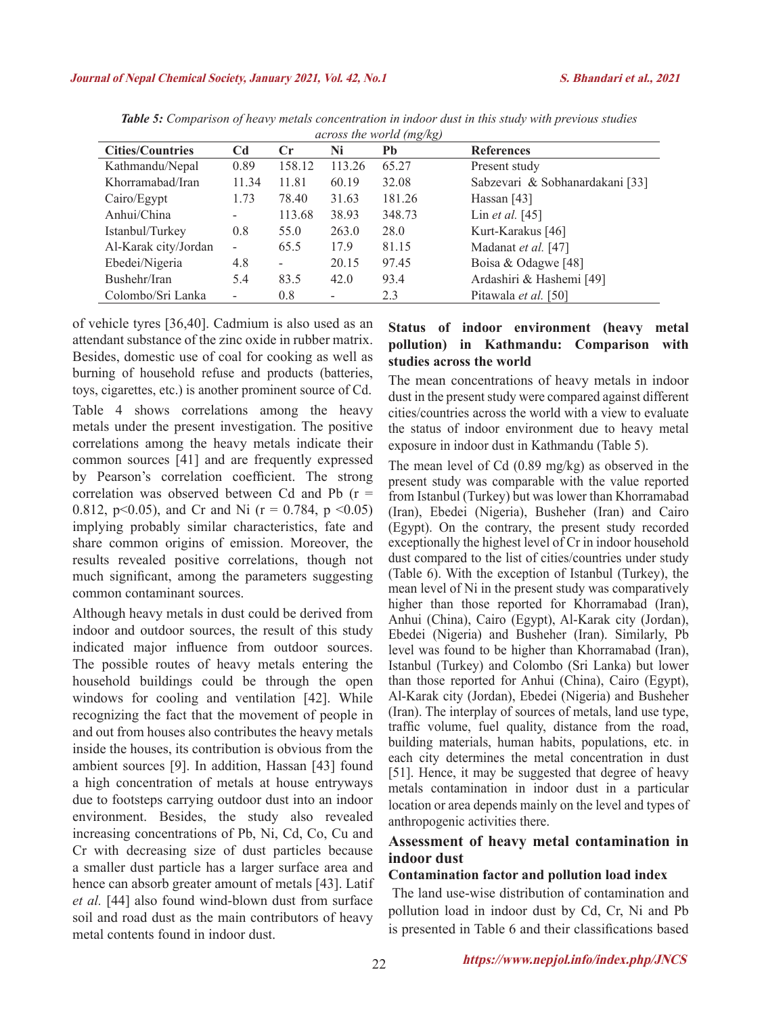| <b>Cities/Countries</b> | C <sub>d</sub> | Cr                | Ni     | Pb     | <b>References</b>               |
|-------------------------|----------------|-------------------|--------|--------|---------------------------------|
| Kathmandu/Nepal         | 0.89           | 158.12            | 113.26 | 65.27  | Present study                   |
| Khorramabad/Iran        | 11.34          | 11.81             | 60.19  | 32.08  | Sabzevari & Sobhanardakani [33] |
| Cairo/Egypt             | 1.73           | 78.40             | 31.63  | 181.26 | Hassan $[43]$                   |
| Anhui/China             | ۰              | 113.68            | 38.93  | 348.73 | Lin et al. $[45]$               |
| Istanbul/Turkey         | 0.8            | 55.0              | 263.0  | 28.0   | Kurt-Karakus [46]               |
| Al-Karak city/Jordan    | ۰              | 65.5              | 17.9   | 81.15  | Madanat et al. [47]             |
| Ebedei/Nigeria          | 4.8            | $\qquad \qquad -$ | 20.15  | 97.45  | Boisa & Odagwe [48]             |
| Bushehr/Iran            | 5.4            | 83.5              | 42.0   | 93.4   | Ardashiri & Hashemi [49]        |
| Colombo/Sri Lanka       | ۰              | 0.8               |        | 2.3    | Pitawala et al. [50]            |

*Table 5: Comparison of heavy metals concentration in indoor dust in this study with previous studies across the world (mg/kg)*

of vehicle tyres [36,40]. Cadmium is also used as an attendant substance of the zinc oxide in rubber matrix. Besides, domestic use of coal for cooking as well as burning of household refuse and products (batteries, toys, cigarettes, etc.) is another prominent source of Cd. Table 4 shows correlations among the heavy metals under the present investigation. The positive correlations among the heavy metals indicate their common sources [41] and are frequently expressed by Pearson's correlation coefficient. The strong correlation was observed between Cd and Pb (r = 0.812, p<0.05), and Cr and Ni (r = 0.784, p <0.05) implying probably similar characteristics, fate and share common origins of emission. Moreover, the results revealed positive correlations, though not much significant, among the parameters suggesting common contaminant sources.

Although heavy metals in dust could be derived from indoor and outdoor sources, the result of this study indicated major influence from outdoor sources. The possible routes of heavy metals entering the household buildings could be through the open windows for cooling and ventilation [42]. While recognizing the fact that the movement of people in and out from houses also contributes the heavy metals inside the houses, its contribution is obvious from the ambient sources [9]. In addition, Hassan [43] found a high concentration of metals at house entryways due to footsteps carrying outdoor dust into an indoor environment. Besides, the study also revealed increasing concentrations of Pb, Ni, Cd, Co, Cu and Cr with decreasing size of dust particles because a smaller dust particle has a larger surface area and hence can absorb greater amount of metals [43]. Latif *et al.* [44] also found wind-blown dust from surface soil and road dust as the main contributors of heavy metal contents found in indoor dust.

### **Status of indoor environment (heavy metal pollution) in Kathmandu: Comparison with studies across the world**

The mean concentrations of heavy metals in indoor dust in the present study were compared against different cities/countries across the world with a view to evaluate the status of indoor environment due to heavy metal exposure in indoor dust in Kathmandu (Table 5).

The mean level of Cd (0.89 mg/kg) as observed in the present study was comparable with the value reported from Istanbul (Turkey) but was lower than Khorramabad (Iran), Ebedei (Nigeria), Busheher (Iran) and Cairo (Egypt). On the contrary, the present study recorded exceptionally the highest level of Cr in indoor household dust compared to the list of cities/countries under study (Table 6). With the exception of Istanbul (Turkey), the mean level of Ni in the present study was comparatively higher than those reported for Khorramabad (Iran), Anhui (China), Cairo (Egypt), Al-Karak city (Jordan), Ebedei (Nigeria) and Busheher (Iran). Similarly, Pb level was found to be higher than Khorramabad (Iran), Istanbul (Turkey) and Colombo (Sri Lanka) but lower than those reported for Anhui (China), Cairo (Egypt), Al-Karak city (Jordan), Ebedei (Nigeria) and Busheher (Iran). The interplay of sources of metals, land use type, traffic volume, fuel quality, distance from the road, building materials, human habits, populations, etc. in each city determines the metal concentration in dust [51]. Hence, it may be suggested that degree of heavy metals contamination in indoor dust in a particular location or area depends mainly on the level and types of anthropogenic activities there.

### **Assessment of heavy metal contamination in indoor dust**

### **Contamination factor and pollution load index**

The land use-wise distribution of contamination and pollution load in indoor dust by Cd, Cr, Ni and Pb is presented in Table 6 and their classifications based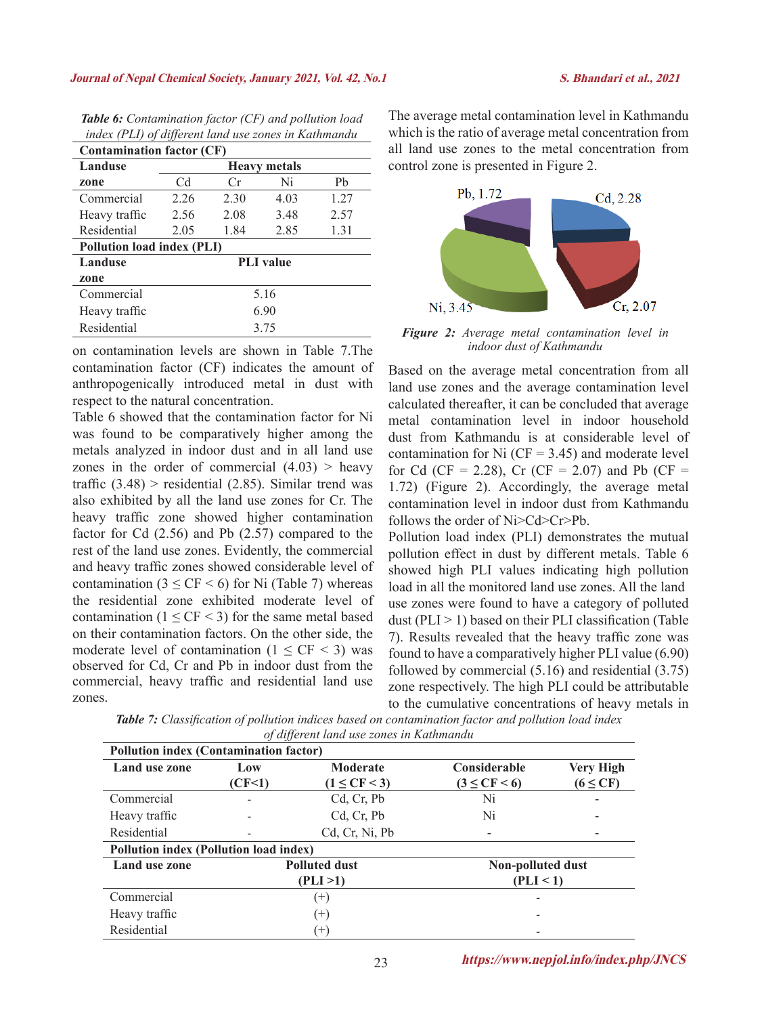#### **Journal of Nepal Chemical Society, January 2021, Vol. 42, No.1****S. Bhandari et al., 2021**

| <i>haven</i> (1 14) of alfferent tana ase 2011es in Examination |                     |      |                  |      |  |  |  |  |  |
|-----------------------------------------------------------------|---------------------|------|------------------|------|--|--|--|--|--|
| <b>Contamination factor (CF)</b>                                |                     |      |                  |      |  |  |  |  |  |
| Landuse                                                         | <b>Heavy metals</b> |      |                  |      |  |  |  |  |  |
| zone                                                            | Cd                  | Cr   | Ni               | Ph   |  |  |  |  |  |
| Commercial                                                      | 2.26                | 2.30 | 4.03             | 1.27 |  |  |  |  |  |
| Heavy traffic                                                   | 2.56                | 2.08 | 3.48             | 2.57 |  |  |  |  |  |
| Residential                                                     | 2.05                | 1.84 | 2.85             | 1.31 |  |  |  |  |  |
| <b>Pollution load index (PLI)</b>                               |                     |      |                  |      |  |  |  |  |  |
| Landuse                                                         |                     |      | <b>PLI</b> value |      |  |  |  |  |  |
| zone                                                            |                     |      |                  |      |  |  |  |  |  |
| Commercial<br>5.16                                              |                     |      |                  |      |  |  |  |  |  |
| Heavy traffic                                                   |                     | 6.90 |                  |      |  |  |  |  |  |
| Residential<br>3.75                                             |                     |      |                  |      |  |  |  |  |  |

*Table 6: Contamination factor (CF) and pollution load index (PLI) of different land use zones in Kathmandu*

on contamination levels are shown in Table 7.The contamination factor (CF) indicates the amount of anthropogenically introduced metal in dust with respect to the natural concentration.

Table 6 showed that the contamination factor for Ni was found to be comparatively higher among the metals analyzed in indoor dust and in all land use zones in the order of commercial  $(4.03)$  > heavy traffic  $(3.48)$  > residential  $(2.85)$ . Similar trend was also exhibited by all the land use zones for Cr. The heavy traffic zone showed higher contamination factor for Cd (2.56) and Pb (2.57) compared to the rest of the land use zones. Evidently, the commercial and heavy traffic zones showed considerable level of contamination ( $3 \leq CF \leq 6$ ) for Ni (Table 7) whereas the residential zone exhibited moderate level of contamination  $(1 \leq C$ F $\leq$ 3) for the same metal based on their contamination factors. On the other side, the moderate level of contamination  $(1 \leq C$ F  $\leq$  3) was observed for Cd, Cr and Pb in indoor dust from the commercial, heavy traffic and residential land use zones.

The average metal contamination level in Kathmandu which is the ratio of average metal concentration from all land use zones to the metal concentration from control zone is presented in Figure 2.



*Figure 2: Average metal contamination level in indoor dust of Kathmandu*

Based on the average metal concentration from all land use zones and the average contamination level calculated thereafter, it can be concluded that average metal contamination level in indoor household dust from Kathmandu is at considerable level of contamination for Ni  $(CF = 3.45)$  and moderate level for Cd (CF = 2.28), Cr (CF = 2.07) and Pb (CF = 1.72) (Figure 2). Accordingly, the average metal contamination level in indoor dust from Kathmandu follows the order of Ni>Cd>Cr>Pb.

Pollution load index (PLI) demonstrates the mutual pollution effect in dust by different metals. Table 6 showed high PLI values indicating high pollution load in all the monitored land use zones. All the land use zones were found to have a category of polluted dust ( $PLI > 1$ ) based on their PLI classification (Table 7). Results revealed that the heavy traffic zone was found to have a comparatively higher PLI value (6.90) followed by commercial (5.16) and residential (3.75) zone respectively. The high PLI could be attributable to the cumulative concentrations of heavy metals in

*Table 7: Classification of pollution indices based on contamination factor and pollution load index of different land use zones in Kathmandu*

| Pollution index (Contamination factor) |                   |                      |                      |                  |  |  |  |  |  |
|----------------------------------------|-------------------|----------------------|----------------------|------------------|--|--|--|--|--|
| Land use zone                          | Low               | Moderate             | Considerable         | <b>Very High</b> |  |  |  |  |  |
|                                        | (CF<1)            | $(1 \leq CF \leq 3)$ | $(3 \leq CF \leq 6)$ | $(6 \leq CF)$    |  |  |  |  |  |
| Commercial                             | $\qquad \qquad -$ | Cd, Cr, Pb           | Ni                   |                  |  |  |  |  |  |
| Heavy traffic                          |                   | Cd, Cr, Pb           | Ni                   |                  |  |  |  |  |  |
| Residential                            |                   | Cd, Cr, Ni, Pb       |                      |                  |  |  |  |  |  |
| Pollution index (Pollution load index) |                   |                      |                      |                  |  |  |  |  |  |
| Land use zone                          |                   | <b>Polluted dust</b> | Non-polluted dust    |                  |  |  |  |  |  |
|                                        |                   | (PLI >1)             | (PLI < 1)            |                  |  |  |  |  |  |
| Commercial                             |                   | $^{(+)}$             |                      |                  |  |  |  |  |  |
| Heavy traffic                          |                   | $^{(+)}$             |                      |                  |  |  |  |  |  |
| Residential                            |                   | $^{(+)}$             |                      |                  |  |  |  |  |  |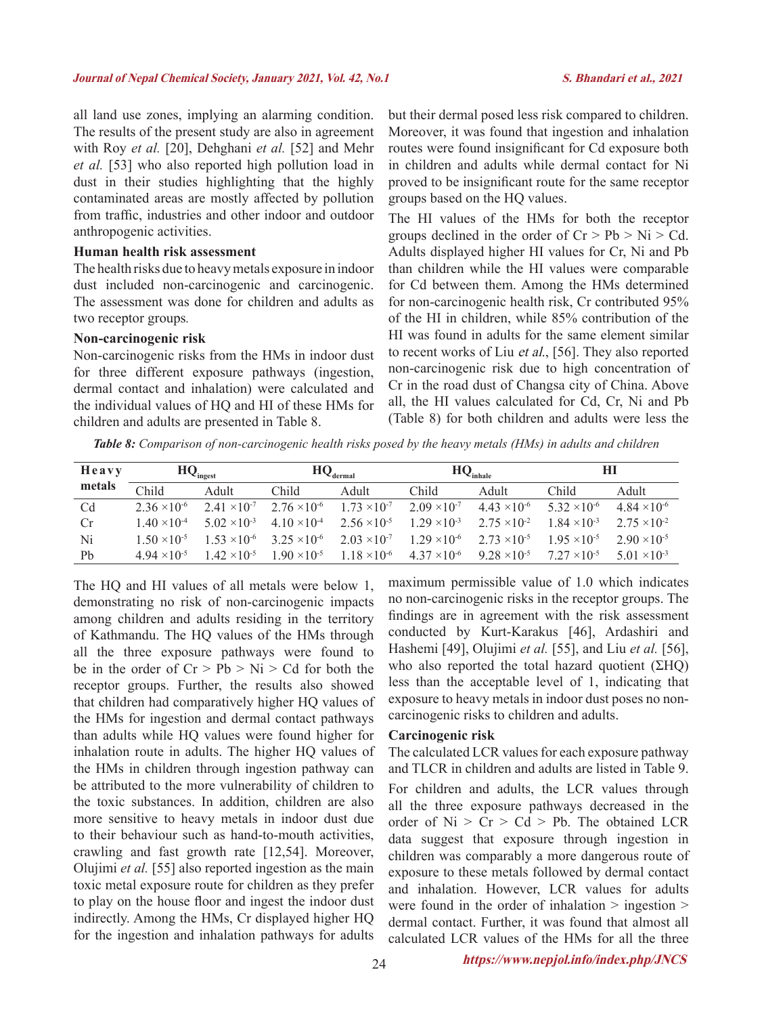all land use zones, implying an alarming condition. The results of the present study are also in agreement with Roy *et al.* [20], Dehghani *et al.* [52] and Mehr *et al.* [53] who also reported high pollution load in dust in their studies highlighting that the highly contaminated areas are mostly affected by pollution from traffic, industries and other indoor and outdoor anthropogenic activities.

### **Human health risk assessment**

The health risks due to heavy metals exposure in indoor dust included non-carcinogenic and carcinogenic. The assessment was done for children and adults as two receptor groups*.*

#### **Non-carcinogenic risk**

Non-carcinogenic risks from the HMs in indoor dust for three different exposure pathways (ingestion, dermal contact and inhalation) were calculated and the individual values of HQ and HI of these HMs for children and adults are presented in Table 8.

but their dermal posed less risk compared to children. Moreover, it was found that ingestion and inhalation routes were found insignificant for Cd exposure both in children and adults while dermal contact for Ni proved to be insignificant route for the same receptor groups based on the HQ values.

The HI values of the HMs for both the receptor groups declined in the order of  $Cr > Pb > Ni > Cd$ . Adults displayed higher HI values for Cr, Ni and Pb than children while the HI values were comparable for Cd between them. Among the HMs determined for non-carcinogenic health risk, Cr contributed 95% of the HI in children, while 85% contribution of the HI was found in adults for the same element similar to recent works of Liu et al., [56]. They also reported non-carcinogenic risk due to high concentration of Cr in the road dust of Changsa city of China. Above all, the HI values calculated for Cd, Cr, Ni and Pb (Table 8) for both children and adults were less the

*Table 8: Comparison of non-carcinogenic health risks posed by the heavy metals (HMs) in adults and children*

| Heavy  | $HQ_{ingest}$                  |                       | $\mathbf{HQ}_\text{derma}$     |                       | $HQ_{inhale}$         |                       | HI                    |                       |
|--------|--------------------------------|-----------------------|--------------------------------|-----------------------|-----------------------|-----------------------|-----------------------|-----------------------|
| metals | Child                          | Adult                 | Child                          | Adult                 | Child                 | Adult                 | Child                 | Adult                 |
| Cd     | $2.36 \times 10^{-6}$          | $2.41 \times 10^{-7}$ | $2.76 \times 10^{-6}$          | $1.73 \times 10^{-7}$ | $2.09 \times 10^{-7}$ | $4.43 \times 10^{-6}$ | $5.32 \times 10^{-6}$ | $4.84 \times 10^{-6}$ |
| Cr     | $1.40 \times 10^{-4}$          | $5.02 \times 10^{-3}$ | 4 10 $\times$ 10 <sup>-4</sup> | $2.56 \times 10^{-5}$ | $1.29 \times 10^{-3}$ | $2.75 \times 10^{-2}$ | $1.84 \times 10^{-3}$ | $2.75 \times 10^{-2}$ |
| Ni     | $1.50 \times 10^{-5}$          | $1.53 \times 10^{-6}$ | $3.25 \times 10^{-6}$          | $2.03 \times 10^{-7}$ | $1.29 \times 10^{-6}$ | $2.73 \times 10^{-5}$ | $1.95 \times 10^{-5}$ | $2.90 \times 10^{-5}$ |
| Pb     | 4 94 $\times$ 10 <sup>-5</sup> | $1.42 \times 10^{-5}$ | $1.90 \times 10^{-5}$          | $1.18 \times 10^{-6}$ | $4.37 \times 10^{-6}$ | $9.28 \times 10^{-5}$ | $7.27 \times 10^{-5}$ | $5.01 \times 10^{-3}$ |

The HQ and HI values of all metals were below 1, demonstrating no risk of non-carcinogenic impacts among children and adults residing in the territory of Kathmandu. The HQ values of the HMs through all the three exposure pathways were found to be in the order of  $Cr > Pb > Ni > Cd$  for both the receptor groups. Further, the results also showed that children had comparatively higher HQ values of the HMs for ingestion and dermal contact pathways than adults while HQ values were found higher for inhalation route in adults. The higher HQ values of the HMs in children through ingestion pathway can be attributed to the more vulnerability of children to the toxic substances. In addition, children are also more sensitive to heavy metals in indoor dust due to their behaviour such as hand-to-mouth activities, crawling and fast growth rate [12,54]. Moreover, Olujimi *et al.* [55] also reported ingestion as the main toxic metal exposure route for children as they prefer to play on the house floor and ingest the indoor dust indirectly. Among the HMs, Cr displayed higher HQ for the ingestion and inhalation pathways for adults

maximum permissible value of 1.0 which indicates no non-carcinogenic risks in the receptor groups. The findings are in agreement with the risk assessment conducted by Kurt-Karakus [46], Ardashiri and Hashemi [49], Olujimi *et al.* [55], and Liu *et al.* [56], who also reported the total hazard quotient (ΣHQ) less than the acceptable level of 1, indicating that exposure to heavy metals in indoor dust poses no noncarcinogenic risks to children and adults.

### **Carcinogenic risk**

The calculated LCR values for each exposure pathway and TLCR in children and adults are listed in Table 9. For children and adults, the LCR values through all the three exposure pathways decreased in the order of  $Ni > Cr > Cd > Pb$ . The obtained LCR data suggest that exposure through ingestion in children was comparably a more dangerous route of exposure to these metals followed by dermal contact and inhalation. However, LCR values for adults were found in the order of inhalation > ingestion > dermal contact. Further, it was found that almost all calculated LCR values of the HMs for all the three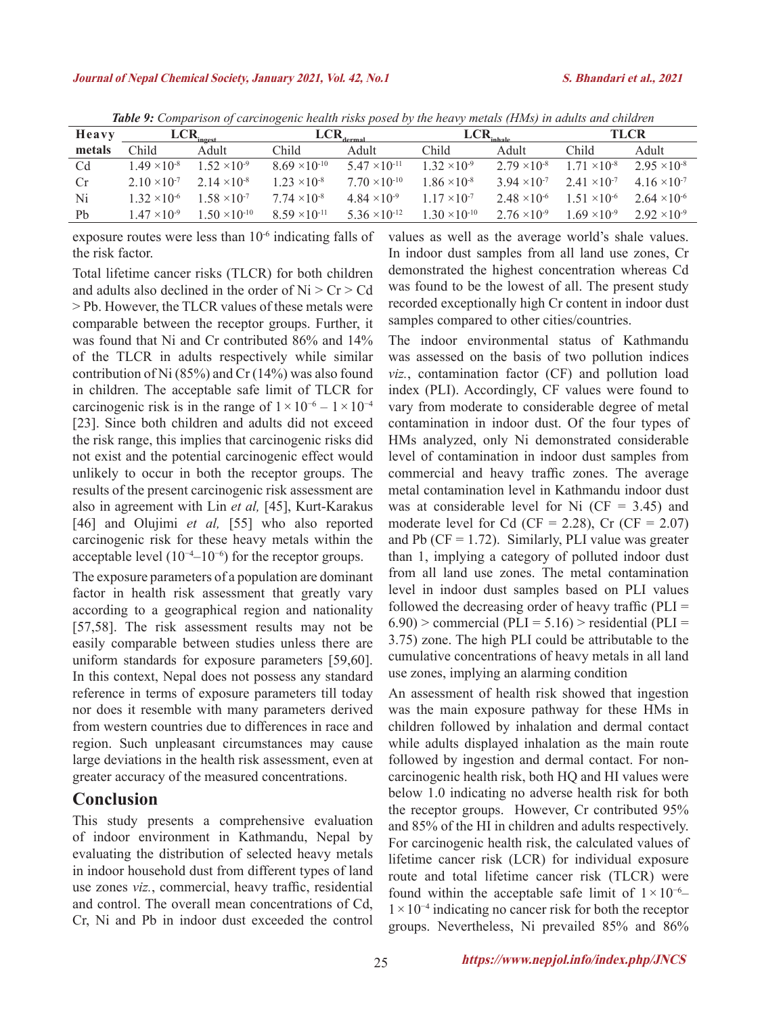| Heavy          | LCR.<br>ingest                 |                       | LCR                    |                                | $LCR_{\rm inhole}$     |                                | <b>TLCR</b>           |                                |
|----------------|--------------------------------|-----------------------|------------------------|--------------------------------|------------------------|--------------------------------|-----------------------|--------------------------------|
| metals         | Child                          | Adult                 | Child                  | Adult                          | Child                  | Adult                          | Child                 | Adult                          |
| Cd             | $1.49 \times 10^{-8}$          | $52 \times 10^{-9}$   | $8.69 \times 10^{-10}$ | $5.47 \times 10^{-11}$         | $1.32 \times 10^{-9}$  | $2.79 \times 10^{-8}$          | $171 \times 10^{-8}$  | $2.95 \times 10^{-8}$          |
| Cr             | 2 10 $\times$ 10 <sup>-7</sup> | $2.14 \times 10^{-8}$ | $1.23 \times 10^{-8}$  | $7.70 \times 10^{-10}$         | $86 \times 10^{-8}$    | 3.94 $\times$ 10 <sup>-7</sup> | $2.41 \times 10^{-7}$ | 4 16 $\times$ 10 <sup>-7</sup> |
| Ni             | $1.32 \times 10^{-6}$          | $58 \times 10^{-7}$   | $7.74 \times 10^{-8}$  | 4 84 $\times$ 10 <sup>-9</sup> | $1.17 \times 10^{-7}$  | $2.48 \times 10^{-6}$          | $1.51 \times 10^{-6}$ | $2.64 \times 10^{-6}$          |
| P <sub>b</sub> | $1.47 \times 10^{-9}$          | $50 \times 10^{-10}$  | $8.59 \times 10^{-11}$ | $5.36 \times 10^{-12}$         | $1.30 \times 10^{-10}$ | $2.76 \times 10^{-9}$          | $69 \times 10^{-9}$   | $2.92 \times 10^{-9}$          |

*Table 9: Comparison of carcinogenic health risks posed by the heavy metals (HMs) in adults and children*

exposure routes were less than 10-6 indicating falls of the risk factor.

Total lifetime cancer risks (TLCR) for both children and adults also declined in the order of  $Ni > Cr > Cd$ > Pb. However, the TLCR values of these metals were comparable between the receptor groups. Further, it was found that Ni and Cr contributed 86% and 14% of the TLCR in adults respectively while similar contribution of Ni (85%) and Cr (14%) was also found in children. The acceptable safe limit of TLCR for carcinogenic risk is in the range of  $1 \times 10^{-6} - 1 \times 10^{-4}$ [23]. Since both children and adults did not exceed the risk range, this implies that carcinogenic risks did not exist and the potential carcinogenic effect would unlikely to occur in both the receptor groups. The results of the present carcinogenic risk assessment are also in agreement with Lin *et al,* [45], Kurt-Karakus [46] and Olujimi *et al*, [55] who also reported carcinogenic risk for these heavy metals within the acceptable level  $(10^{-4}-10^{-6})$  for the receptor groups.

The exposure parameters of a population are dominant factor in health risk assessment that greatly vary according to a geographical region and nationality [57,58]. The risk assessment results may not be easily comparable between studies unless there are uniform standards for exposure parameters [59,60]. In this context, Nepal does not possess any standard reference in terms of exposure parameters till today nor does it resemble with many parameters derived from western countries due to differences in race and region. Such unpleasant circumstances may cause large deviations in the health risk assessment, even at greater accuracy of the measured concentrations.

## **Conclusion**

This study presents a comprehensive evaluation of indoor environment in Kathmandu, Nepal by evaluating the distribution of selected heavy metals in indoor household dust from different types of land use zones *viz.*, commercial, heavy traffic, residential and control. The overall mean concentrations of Cd, Cr, Ni and Pb in indoor dust exceeded the control values as well as the average world's shale values. In indoor dust samples from all land use zones, Cr demonstrated the highest concentration whereas Cd was found to be the lowest of all. The present study recorded exceptionally high Cr content in indoor dust samples compared to other cities/countries.

The indoor environmental status of Kathmandu was assessed on the basis of two pollution indices *viz.*, contamination factor (CF) and pollution load index (PLI). Accordingly, CF values were found to vary from moderate to considerable degree of metal contamination in indoor dust. Of the four types of HMs analyzed, only Ni demonstrated considerable level of contamination in indoor dust samples from commercial and heavy traffic zones. The average metal contamination level in Kathmandu indoor dust was at considerable level for Ni  $(CF = 3.45)$  and moderate level for Cd (CF = 2.28), Cr (CF =  $2.07$ ) and Pb ( $CF = 1.72$ ). Similarly, PLI value was greater than 1, implying a category of polluted indoor dust from all land use zones. The metal contamination level in indoor dust samples based on PLI values followed the decreasing order of heavy traffic  $(PLI =$  $6.90$ ) > commercial (PLI = 5.16) > residential (PLI = 3.75) zone. The high PLI could be attributable to the cumulative concentrations of heavy metals in all land use zones, implying an alarming condition

An assessment of health risk showed that ingestion was the main exposure pathway for these HMs in children followed by inhalation and dermal contact while adults displayed inhalation as the main route followed by ingestion and dermal contact. For noncarcinogenic health risk, both HQ and HI values were below 1.0 indicating no adverse health risk for both the receptor groups. However, Cr contributed 95% and 85% of the HI in children and adults respectively. For carcinogenic health risk, the calculated values of lifetime cancer risk (LCR) for individual exposure route and total lifetime cancer risk (TLCR) were found within the acceptable safe limit of  $1 \times 10^{-6}$ – 1×10−4 indicating no cancer risk for both the receptor groups. Nevertheless, Ni prevailed 85% and 86%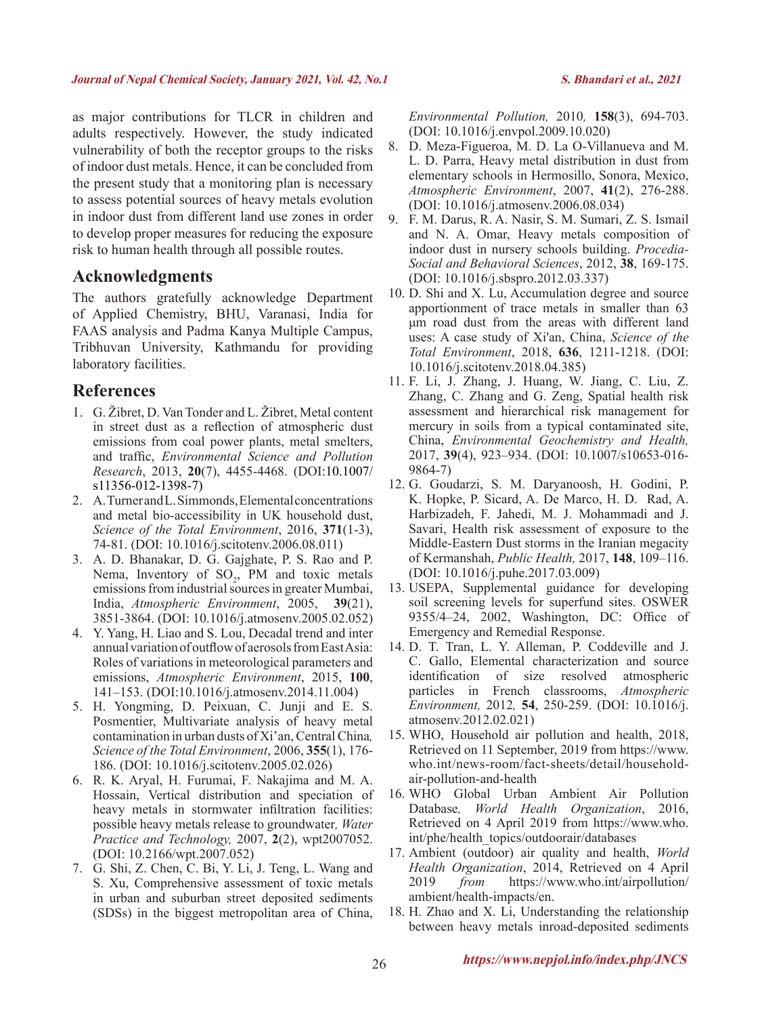as major contributions for TLCR in children and adults respectively. However, the study indicated vulnerability of both the receptor groups to the risks of indoor dust metals. Hence, it can be concluded from the present study that a monitoring plan is necessary to assess potential sources of heavy metals evolution in indoor dust from different land use zones in order to develop proper measures for reducing the exposure risk to human health through all possible routes.

## **Acknowledgments**

The authors gratefully acknowledge Department of Applied Chemistry, BHU, Varanasi, India for FAAS analysis and Padma Kanya Multiple Campus, Tribhuvan University, Kathmandu for providing laboratory facilities.

## **References**

- 1. G. Žibret, D. Van Tonder and L. Žibret, Metal content in street dust as a reflection of atmospheric dust emissions from coal power plants, metal smelters, and traffic, *Environmental Science and Pollution Research*, 2013, **20**(7), 4455-4468. (DOI:10.1007/ s11356-012-1398-7)
- 2. A. Turner and L. Simmonds, Elemental concentrations and metal bio-accessibility in UK household dust, *Science of the Total Environment*, 2016, **371**(1-3), 74-81. (DOI: 10.1016/j.scitotenv.2006.08.011)
- 3. A. D. Bhanakar, D. G. Gajghate, P. S. Rao and P. Nema, Inventory of  $SO_2$ , PM and toxic metals emissions from industrial sources in greater Mumbai, India, *Atmospheric Environment*, 2005, **39**(21), 3851-3864. (DOI: 10.1016/j.atmosenv.2005.02.052)
- 4. Y. Yang, H. Liao and S. Lou, Decadal trend and inter annual variation of outflow of aerosols from East Asia: Roles of variations in meteorological parameters and emissions, *Atmospheric Environment*, 2015, **100**, 141–153. (DOI:10.1016/j.atmosenv.2014.11.004)
- 5. H. Yongming, D. Peixuan, C. Junji and E. S. Posmentier, Multivariate analysis of heavy metal contamination in urban dusts of Xi'an, Central China*, Science of the Total Environment*, 2006, **355**(1), 176- 186. (DOI: 10.1016/j.scitotenv.2005.02.026)
- 6. R. K. Aryal, H. Furumai, F. Nakajima and M. A. Hossain, Vertical distribution and speciation of heavy metals in stormwater infiltration facilities: possible heavy metals release to groundwater*, Water Practice and Technology,* 2007, **2**(2), wpt2007052. (DOI: 10.2166/wpt.2007.052)
- 7. G. Shi, Z. Chen, C. Bi, Y. Li, J. Teng, L. Wang and S. Xu, Comprehensive assessment of toxic metals in urban and suburban street deposited sediments (SDSs) in the biggest metropolitan area of China,

*Environmental Pollution,* 2010*,* **158**(3), 694-703. (DOI: 10.1016/j.envpol.2009.10.020)

- 8. D. Meza-Figueroa, M. D. La O-Villanueva and M. L. D. Parra, Heavy metal distribution in dust from elementary schools in Hermosillo, Sonora, Mexico, *Atmospheric Environment*, 2007, **41**(2), 276-288. (DOI: 10.1016/j.atmosenv.2006.08.034)
- 9. F. M. Darus, R. A. Nasir, S. M. Sumari, Z. S. Ismail and N. A. Omar, Heavy metals composition of indoor dust in nursery schools building. *Procedia-Social and Behavioral Sciences*, 2012, **38**, 169-175. (DOI: 10.1016/j.sbspro.2012.03.337)
- 10. D. Shi and X. Lu, Accumulation degree and source apportionment of trace metals in smaller than 63 μm road dust from the areas with different land uses: A case study of Xi'an, China, *Science of the Total Environment*, 2018, **636**, 1211-1218. (DOI: 10.1016/j.scitotenv.2018.04.385)
- 11. F. Li, J. Zhang, J. Huang, W. Jiang, C. Liu, Z. Zhang, C. Zhang and G. Zeng, Spatial health risk assessment and hierarchical risk management for mercury in soils from a typical contaminated site, China, *Environmental Geochemistry and Health,* 2017, **39**(4), 923–934. (DOI: 10.1007/s10653-016- 9864-7)
- 12. G. Goudarzi, S. M. Daryanoosh, H. Godini, P. K. Hopke, P. Sicard, A. De Marco, H. D. Rad, A. Harbizadeh, F. Jahedi, M. J. Mohammadi and J. Savari, Health risk assessment of exposure to the Middle-Eastern Dust storms in the Iranian megacity of Kermanshah, *Public Health,* 2017, **148**, 109–116. (DOI: 10.1016/j.puhe.2017.03.009)
- 13. USEPA, Supplemental guidance for developing soil screening levels for superfund sites. OSWER 9355/4–24, 2002, Washington, DC: Office of Emergency and Remedial Response.
- 14. D. T. Tran, L. Y. Alleman, P. Coddeville and J. C. Gallo, Elemental characterization and source identification of size resolved atmospheric particles in French classrooms, *Atmospheric Environment,* 2012*,* **54**, 250-259. (DOI: 10.1016/j. atmosenv.2012.02.021)
- 15. WHO, Household air pollution and health, 2018, Retrieved on 11 September, 2019 from https://www. who.int/news-room/fact-sheets/detail/householdair-pollution-and-health
- 16. WHO Global Urban Ambient Air Pollution Database*, World Health Organization*, 2016, Retrieved on 4 April 2019 from https://www.who. int/phe/health\_topics/outdoorair/databases
- 17. Ambient (outdoor) air quality and health, *World Health Organization*, 2014, Retrieved on 4 April 2019 *from* https://www.who.int/airpollution/ ambient/health-impacts/en.
- 18. H. Zhao and X. Li, Understanding the relationship between heavy metals inroad-deposited sediments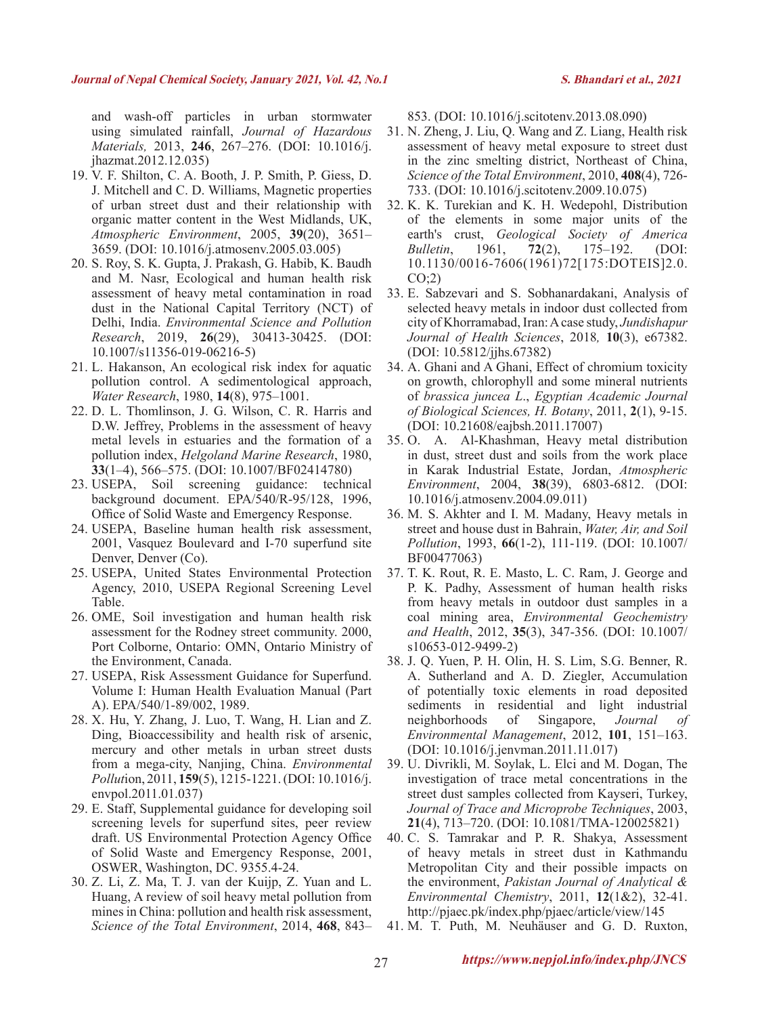and wash-off particles in urban stormwater using simulated rainfall, *Journal of Hazardous Materials,* 2013, **246**, 267–276. (DOI: 10.1016/j. jhazmat.2012.12.035)

- 19. V. F. Shilton, C. A. Booth, J. P. Smith, P. Giess, D. J. Mitchell and C. D. Williams, Magnetic properties of urban street dust and their relationship with organic matter content in the West Midlands, UK, *Atmospheric Environment*, 2005, **39**(20), 3651– 3659. (DOI: 10.1016/j.atmosenv.2005.03.005)
- 20. S. Roy, S. K. Gupta, J. Prakash, G. Habib, K. Baudh and M. Nasr, Ecological and human health risk assessment of heavy metal contamination in road dust in the National Capital Territory (NCT) of Delhi, India. *Environmental Science and Pollution Research*, 2019, **26**(29), 30413-30425. (DOI: 10.1007/s11356-019-06216-5)
- 21. L. Hakanson, An ecological risk index for aquatic pollution control. A sedimentological approach, *Water Research*, 1980, **14**(8), 975–1001.
- 22. D. L. Thomlinson, J. G. Wilson, C. R. Harris and D.W. Jeffrey, Problems in the assessment of heavy metal levels in estuaries and the formation of a pollution index, *Helgoland Marine Research*, 1980, **33**(1–4), 566–575. (DOI: 10.1007/BF02414780)
- 23. USEPA, Soil screening guidance: technical background document. EPA/540/R-95/128, 1996, Office of Solid Waste and Emergency Response.
- 24. USEPA, Baseline human health risk assessment, 2001, Vasquez Boulevard and I-70 superfund site Denver, Denver (Co).
- 25. USEPA, United States Environmental Protection Agency, 2010, USEPA Regional Screening Level Table.
- 26. OME, Soil investigation and human health risk assessment for the Rodney street community. 2000, Port Colborne, Ontario: OMN, Ontario Ministry of the Environment, Canada.
- 27. USEPA, Risk Assessment Guidance for Superfund. Volume I: Human Health Evaluation Manual (Part A). EPA/540/1-89/002, 1989.
- 28. X. Hu, Y. Zhang, J. Luo, T. Wang, H. Lian and Z. Ding, Bioaccessibility and health risk of arsenic, mercury and other metals in urban street dusts from a mega-city, Nanjing, China. *Environmental Pollut*ion, 2011, **159**(5), 1215-1221. (DOI: 10.1016/j. envpol.2011.01.037)
- 29. E. Staff, Supplemental guidance for developing soil screening levels for superfund sites, peer review draft. US Environmental Protection Agency Office of Solid Waste and Emergency Response, 2001, OSWER, Washington, DC. 9355.4-24.
- 30. Z. Li, Z. Ma, T. J. van der Kuijp, Z. Yuan and L. Huang, A review of soil heavy metal pollution from mines in China: pollution and health risk assessment, *Science of the Total Environment*, 2014, **468**, 843–

853. (DOI: 10.1016/j.scitotenv.2013.08.090)

- 31. N. Zheng, J. Liu, Q. Wang and Z. Liang, Health risk assessment of heavy metal exposure to street dust in the zinc smelting district, Northeast of China, *Science of the Total Environment*, 2010, **408**(4), 726- 733. (DOI: 10.1016/j.scitotenv.2009.10.075)
- 32. K. K. Turekian and K. H. Wedepohl, Distribution of the elements in some major units of the earth's crust, *Geological Society of America Bulletin*, 1961, **72**(2), 175–192. (DOI: 10.1130/0016-7606(1961)72[175:DOTEIS]2.0.  $CO(2)$
- 33. E. Sabzevari and S. Sobhanardakani, Analysis of selected heavy metals in indoor dust collected from city of Khorramabad, Iran: A case study, *Jundishapur Journal of Health Sciences*, 2018*,* **10**(3), e67382. (DOI: 10.5812/jjhs.67382)
- 34. A. Ghani and A Ghani, Effect of chromium toxicity on growth, chlorophyll and some mineral nutrients of *brassica juncea L*., *Egyptian Academic Journal of Biological Sciences, H. Botany*, 2011, **2**(1), 9-15. (DOI: 10.21608/eajbsh.2011.17007)
- 35. O. A. Al-Khashman, Heavy metal distribution in dust, street dust and soils from the work place in Karak Industrial Estate, Jordan, *Atmospheric Environment*, 2004, **38**(39), 6803-6812. (DOI: 10.1016/j.atmosenv.2004.09.011)
- 36. M. S. Akhter and I. M. Madany, Heavy metals in street and house dust in Bahrain, *Water, Air, and Soil Pollution*, 1993, **66**(1-2), 111-119. (DOI: 10.1007/ BF00477063)
- 37. T. K. Rout, R. E. Masto, L. C. Ram, J. George and P. K. Padhy, Assessment of human health risks from heavy metals in outdoor dust samples in a coal mining area, *Environmental Geochemistry and Health*, 2012, **35**(3), 347-356. (DOI: 10.1007/ s10653-012-9499-2)
- 38. J. Q. Yuen, P. H. Olin, H. S. Lim, S.G. Benner, R. A. Sutherland and A. D. Ziegler, Accumulation of potentially toxic elements in road deposited sediments in residential and light industrial neighborhoods of Singapore, *Journal of Environmental Management*, 2012, **101**, 151–163. (DOI: 10.1016/j.jenvman.2011.11.017)
- 39. U. Divrikli, M. Soylak, L. Elci and M. Dogan, The investigation of trace metal concentrations in the street dust samples collected from Kayseri, Turkey, *Journal of Trace and Microprobe Techniques*, 2003, **21**(4), 713–720. (DOI: 10.1081/TMA-120025821)
- 40. C. S. Tamrakar and P. R. Shakya, Assessment of heavy metals in street dust in Kathmandu Metropolitan City and their possible impacts on the environment, *Pakistan Journal of Analytical & Environmental Chemistry*, 2011, **12**(1&2), 32-41. http://pjaec.pk/index.php/pjaec/article/view/145
- 41. M. T. Puth, M. Neuhäuser and G. D. Ruxton,